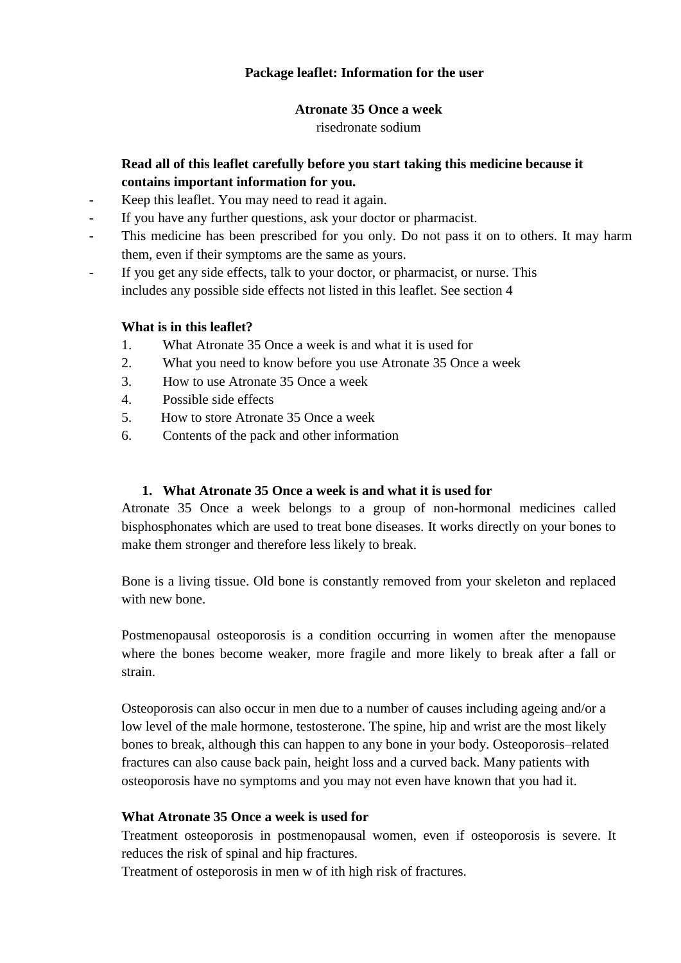# **Package leaflet: Information for the user**

#### **Atronate 35 Once a week**

risedronate sodium

# **Read all of this leaflet carefully before you start taking this medicine because it contains important information for you.**

- Keep this leaflet. You may need to read it again.
- If you have any further questions, ask your doctor or pharmacist.
- This medicine has been prescribed for you only. Do not pass it on to others. It may harm them, even if their symptoms are the same as yours.
- If you get any side effects, talk to your doctor, or pharmacist, or nurse. This includes any possible side effects not listed in this leaflet. See section 4

## **What is in this leaflet?**

- 1. What Atronate 35 Once a week is and what it is used for
- 2. What you need to know before you use Atronate 35 Once a week
- 3. How to use Atronate 35 Once a week
- 4. Possible side effects
- 5. How to store Atronate 35 Once a week
- 6. Contents of the pack and other information

## **1. What Atronate 35 Once a week is and what it is used for**

Atronate 35 Once a week belongs to a group of non-hormonal medicines called bisphosphonates which are used to treat bone diseases. It works directly on your bones to make them stronger and therefore less likely to break.

Bone is a living tissue. Old bone is constantly removed from your skeleton and replaced with new bone.

Postmenopausal osteoporosis is a condition occurring in women after the menopause where the bones become weaker, more fragile and more likely to break after a fall or strain.

Osteoporosis can also occur in men due to a number of causes including ageing and/or a low level of the male hormone, testosterone. The spine, hip and wrist are the most likely bones to break, although this can happen to any bone in your body. Osteoporosis–related fractures can also cause back pain, height loss and a curved back. Many patients with osteoporosis have no symptoms and you may not even have known that you had it.

## **What Atronate 35 Once a week is used for**

Treatment osteoporosis in postmenopausal women, even if osteoporosis is severe. It reduces the risk of spinal and hip fractures.

Treatment of osteporosis in men w of ith high risk of fractures.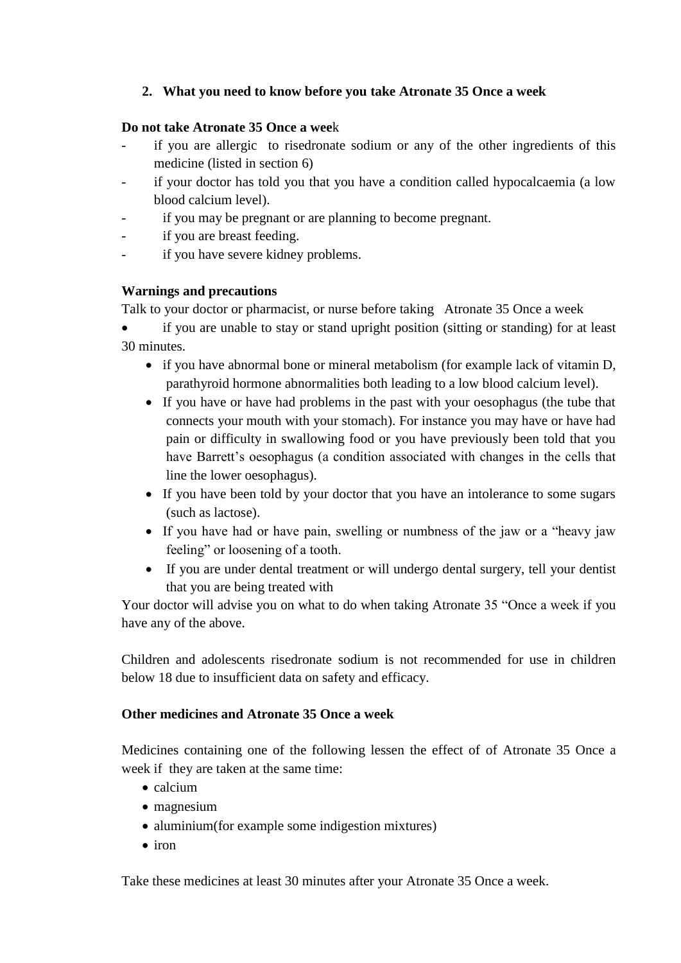# **2. What you need to know before you take Atronate 35 Once a week**

### **Do not take Atronate 35 Once a wee**k

- if you are allergic to risedronate sodium or any of the other ingredients of this medicine (listed in section 6)
- if your doctor has told you that you have a condition called hypocalcaemia (a low blood calcium level).
- if you may be pregnant or are planning to become pregnant.
- if you are breast feeding.
- if you have severe kidney problems.

## **Warnings and precautions**

Talk to your doctor or pharmacist, or nurse before taking Atronate 35 Once a week

 if you are unable to stay or stand upright position (sitting or standing) for at least 30 minutes.

- if you have abnormal bone or mineral metabolism (for example lack of vitamin D, parathyroid hormone abnormalities both leading to a low blood calcium level).
- If you have or have had problems in the past with your oesophagus (the tube that connects your mouth with your stomach). For instance you may have or have had pain or difficulty in swallowing food or you have previously been told that you have Barrett's oesophagus (a condition associated with changes in the cells that line the lower oesophagus).
- If you have been told by your doctor that you have an intolerance to some sugars (such as lactose).
- If you have had or have pain, swelling or numbness of the jaw or a "heavy jaw feeling" or loosening of a tooth.
- If you are under dental treatment or will undergo dental surgery, tell your dentist that you are being treated with

Your doctor will advise you on what to do when taking Atronate 35 "Once a week if you have any of the above.

Children and adolescents risedronate sodium is not recommended for use in children below 18 due to insufficient data on safety and efficacy.

## **Other medicines and Atronate 35 Once a week**

Medicines containing one of the following lessen the effect of of Atronate 35 Once a week if they are taken at the same time:

- $\bullet$  calcium
- magnesium
- aluminium(for example some indigestion mixtures)
- $\bullet$  iron

Take these medicines at least 30 minutes after your Atronate 35 Once a week.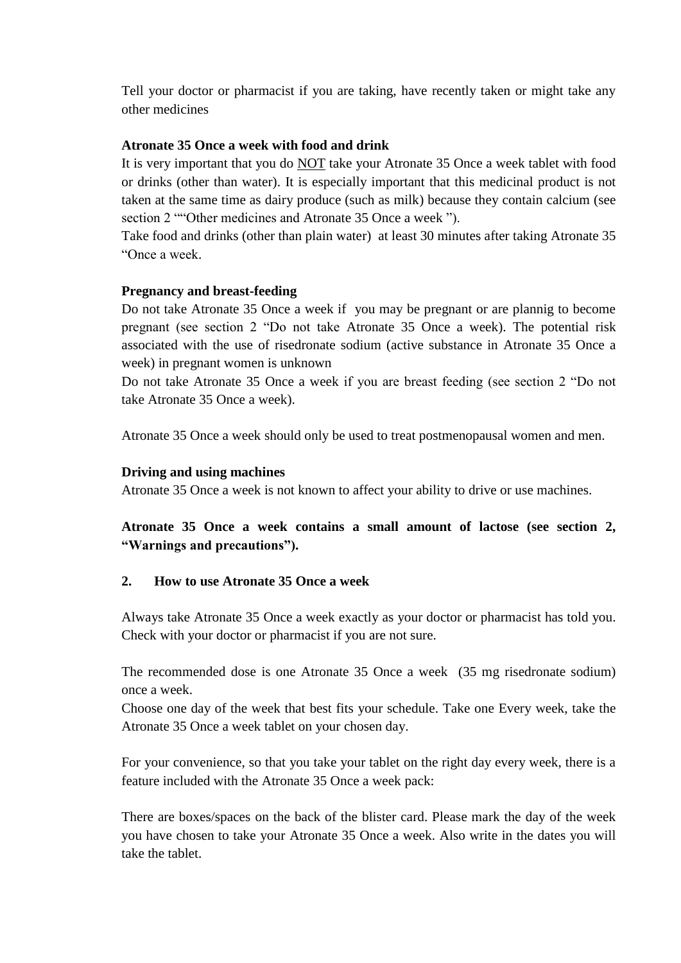Tell your doctor or pharmacist if you are taking, have recently taken or might take any other medicines

#### **Atronate 35 Once a week with food and drink**

It is very important that you do NOT take your Atronate 35 Once a week tablet with food or drinks (other than water). It is especially important that this medicinal product is not taken at the same time as dairy produce (such as milk) because they contain calcium (see section 2 ""Other medicines and Atronate 35 Once a week ").

Take food and drinks (other than plain water) at least 30 minutes after taking Atronate 35 "Once a week.

### **Pregnancy and breast-feeding**

Do not take Atronate 35 Once a week if you may be pregnant or are plannig to become pregnant (see section 2 "Do not take Atronate 35 Once a week). The potential risk associated with the use of risedronate sodium (active substance in Atronate 35 Once a week) in pregnant women is unknown

Do not take Atronate 35 Once a week if you are breast feeding (see section 2 "Do not take Atronate 35 Once a week).

Atronate 35 Once a week should only be used to treat postmenopausal women and men.

#### **Driving and using machines**

Atronate 35 Once a week is not known to affect your ability to drive or use machines.

# **Atronate 35 Once a week contains a small amount of lactose (see section 2, "Warnings and precautions").**

## **2. How to use Atronate 35 Once a week**

Always take Atronate 35 Once a week exactly as your doctor or pharmacist has told you. Check with your doctor or pharmacist if you are not sure.

The recommended dose is one Atronate 35 Once a week (35 mg risedronate sodium) once a week.

Choose one day of the week that best fits your schedule. Take one Every week, take the Atronate 35 Once a week tablet on your chosen day.

For your convenience, so that you take your tablet on the right day every week, there is a feature included with the Atronate 35 Once a week pack:

There are boxes/spaces on the back of the blister card. Please mark the day of the week you have chosen to take your Atronate 35 Once a week. Also write in the dates you will take the tablet.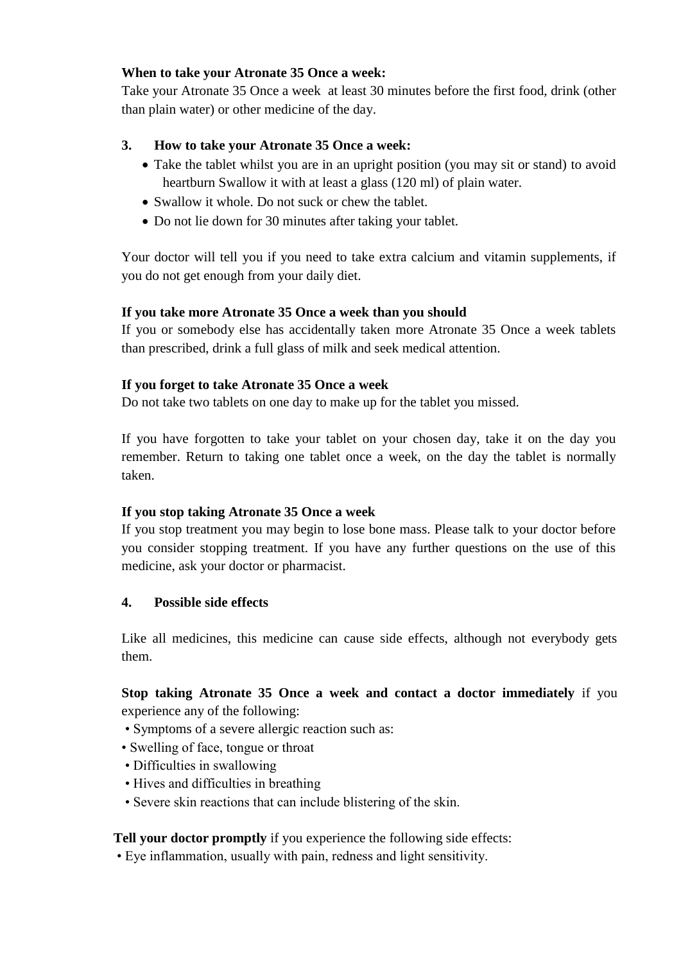## **When to take your Atronate 35 Once a week:**

Take your Atronate 35 Once a week at least 30 minutes before the first food, drink (other than plain water) or other medicine of the day.

# **3. How to take your Atronate 35 Once a week:**

- Take the tablet whilst you are in an upright position (you may sit or stand) to avoid heartburn Swallow it with at least a glass (120 ml) of plain water.
- Swallow it whole. Do not suck or chew the tablet.
- Do not lie down for 30 minutes after taking your tablet.

Your doctor will tell you if you need to take extra calcium and vitamin supplements, if you do not get enough from your daily diet.

# **If you take more Atronate 35 Once a week than you should**

If you or somebody else has accidentally taken more Atronate 35 Once a week tablets than prescribed, drink a full glass of milk and seek medical attention.

# **If you forget to take Atronate 35 Once a week**

Do not take two tablets on one day to make up for the tablet you missed.

If you have forgotten to take your tablet on your chosen day, take it on the day you remember. Return to taking one tablet once a week, on the day the tablet is normally taken.

## **If you stop taking Atronate 35 Once a week**

If you stop treatment you may begin to lose bone mass. Please talk to your doctor before you consider stopping treatment. If you have any further questions on the use of this medicine, ask your doctor or pharmacist.

## **4. Possible side effects**

Like all medicines, this medicine can cause side effects, although not everybody gets them.

**Stop taking Atronate 35 Once a week and contact a doctor immediately** if you experience any of the following:

- Symptoms of a severe allergic reaction such as:
- Swelling of face, tongue or throat
- Difficulties in swallowing
- Hives and difficulties in breathing
- Severe skin reactions that can include blistering of the skin.

# **Tell your doctor promptly** if you experience the following side effects:

• Eye inflammation, usually with pain, redness and light sensitivity.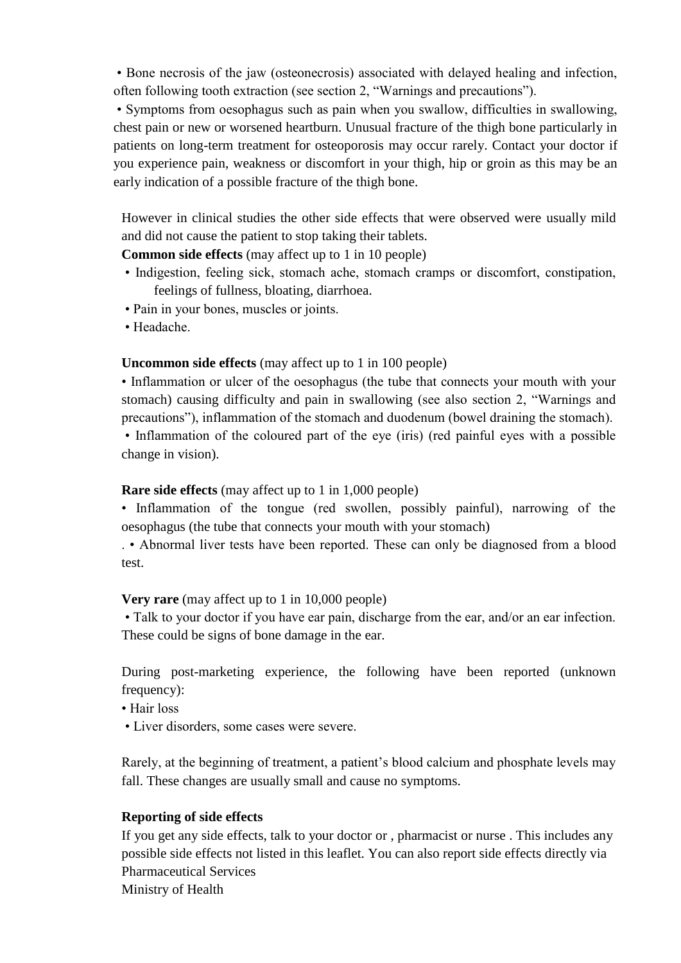• Bone necrosis of the jaw (osteonecrosis) associated with delayed healing and infection, often following tooth extraction (see section 2, "Warnings and precautions").

• Symptoms from oesophagus such as pain when you swallow, difficulties in swallowing, chest pain or new or worsened heartburn. Unusual fracture of the thigh bone particularly in patients on long-term treatment for osteoporosis may occur rarely. Contact your doctor if you experience pain, weakness or discomfort in your thigh, hip or groin as this may be an early indication of a possible fracture of the thigh bone.

However in clinical studies the other side effects that were observed were usually mild and did not cause the patient to stop taking their tablets.

## **Common side effects** (may affect up to 1 in 10 people)

- Indigestion, feeling sick, stomach ache, stomach cramps or discomfort, constipation, feelings of fullness, bloating, diarrhoea.
- Pain in your bones, muscles or joints.
- Headache.

## **Uncommon side effects** (may affect up to 1 in 100 people)

• Inflammation or ulcer of the oesophagus (the tube that connects your mouth with your stomach) causing difficulty and pain in swallowing (see also section 2, "Warnings and precautions"), inflammation of the stomach and duodenum (bowel draining the stomach). • Inflammation of the coloured part of the eye (iris) (red painful eyes with a possible

change in vision).

## **Rare side effects** (may affect up to 1 in 1,000 people)

• Inflammation of the tongue (red swollen, possibly painful), narrowing of the oesophagus (the tube that connects your mouth with your stomach)

. • Abnormal liver tests have been reported. These can only be diagnosed from a blood test.

## **Very rare** (may affect up to 1 in 10,000 people)

• Talk to your doctor if you have ear pain, discharge from the ear, and/or an ear infection. These could be signs of bone damage in the ear.

During post-marketing experience, the following have been reported (unknown frequency):

- Hair loss
- Liver disorders, some cases were severe.

Rarely, at the beginning of treatment, a patient's blood calcium and phosphate levels may fall. These changes are usually small and cause no symptoms.

## **Reporting of side effects**

If you get any side effects, talk to your doctor or , pharmacist or nurse . This includes any possible side effects not listed in this leaflet. You can also report side effects directly via Pharmaceutical Services Ministry of Health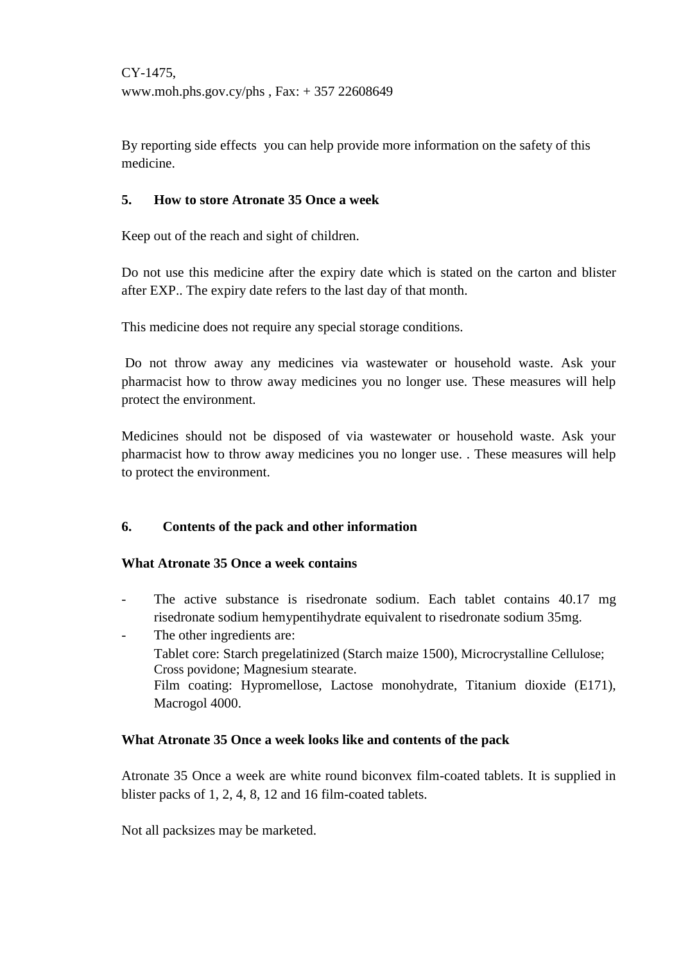CΥ-1475, www.moh.phs.gov.cy/phs , Fax: + 357 22608649

By reporting side effects you can help provide more information on the safety of this medicine.

## **5. How to store Atronate 35 Once a week**

Keep out of the reach and sight of children.

Do not use this medicine after the expiry date which is stated on the carton and blister after EXP.. The expiry date refers to the last day of that month.

This medicine does not require any special storage conditions.

Do not throw away any medicines via wastewater or household waste. Ask your pharmacist how to throw away medicines you no longer use. These measures will help protect the environment.

Medicines should not be disposed of via wastewater or household waste. Ask your pharmacist how to throw away medicines you no longer use. . These measures will help to protect the environment.

## **6. Contents of the pack and other information**

#### **What Atronate 35 Once a week contains**

- The active substance is risedronate sodium. Each tablet contains 40.17 mg risedronate sodium hemypentihydrate equivalent to risedronate sodium 35mg.
- The other ingredients are:
	- Tablet core: Starch pregelatinized (Starch maize 1500), Microcrystalline Cellulose; Cross povidone; Magnesium stearate.

Film coating: Hypromellose, Lactose monohydrate, Titanium dioxide (E171), Macrogol 4000.

#### **What Atronate 35 Once a week looks like and contents of the pack**

Atronate 35 Once a week are white round biconvex film-coated tablets. It is supplied in blister packs of 1, 2, 4, 8, 12 and 16 film-coated tablets.

Not all packsizes may be marketed.